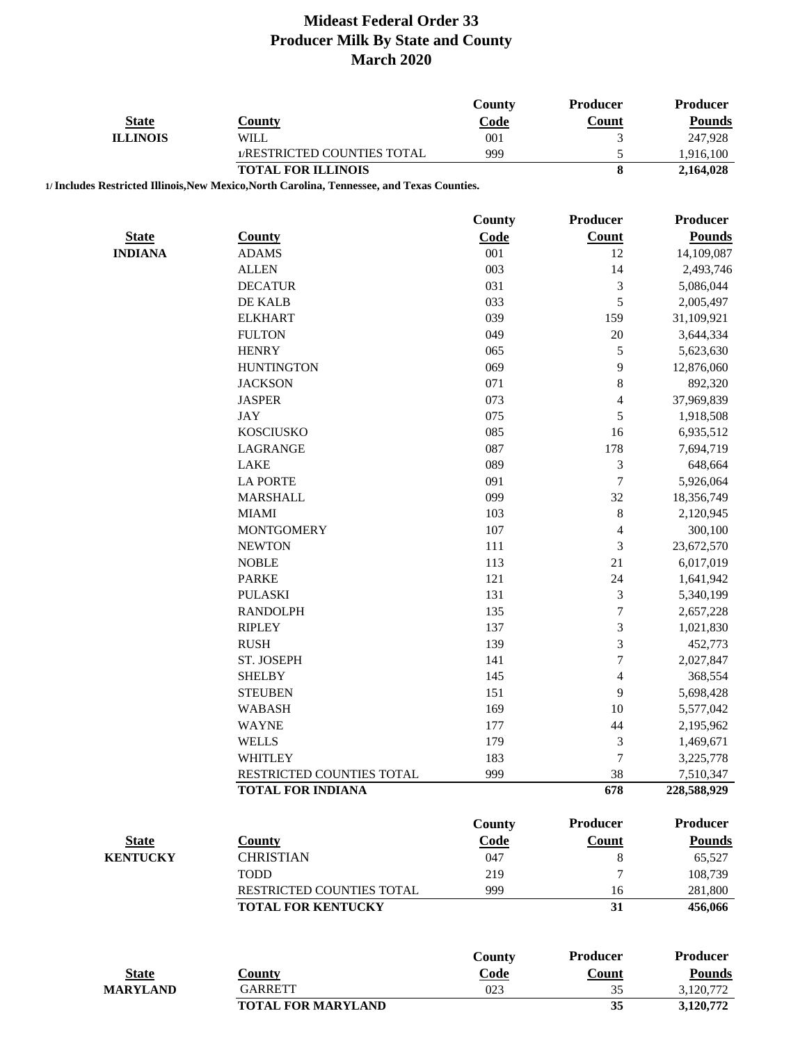| <b>State</b>    | <b>County</b>                                                                               | County<br>Code | Producer<br>Count           | Producer<br><b>Pounds</b> |
|-----------------|---------------------------------------------------------------------------------------------|----------------|-----------------------------|---------------------------|
| <b>ILLINOIS</b> | <b>WILL</b>                                                                                 | 001            | $\mathfrak{Z}$              | 247,928                   |
|                 | 1/RESTRICTED COUNTIES TOTAL                                                                 | 999            | 5                           | 1,916,100                 |
|                 | <b>TOTAL FOR ILLINOIS</b>                                                                   |                | 8                           | 2,164,028                 |
|                 | 1/ Includes Restricted Illinois, New Mexico, North Carolina, Tennessee, and Texas Counties. |                |                             |                           |
|                 |                                                                                             | County         | <b>Producer</b>             | Producer                  |
| <b>State</b>    | <b>County</b>                                                                               | Code           | Count                       | <b>Pounds</b>             |
| <b>INDIANA</b>  | <b>ADAMS</b>                                                                                | 001            | 12                          | 14,109,087                |
|                 | <b>ALLEN</b>                                                                                | 003            | 14                          | 2,493,746                 |
|                 | <b>DECATUR</b>                                                                              | 031            | $\mathfrak{Z}$              | 5,086,044                 |
|                 | DE KALB                                                                                     | 033            | $\sqrt{5}$                  | 2,005,497                 |
|                 | <b>ELKHART</b>                                                                              | 039            | 159                         | 31,109,921                |
|                 | <b>FULTON</b>                                                                               | 049            | 20                          | 3,644,334                 |
|                 | <b>HENRY</b>                                                                                | 065            | $\mathfrak s$               | 5,623,630                 |
|                 | <b>HUNTINGTON</b>                                                                           | 069            | 9                           | 12,876,060                |
|                 | <b>JACKSON</b>                                                                              | 071            | $\,8$                       | 892,320                   |
|                 | <b>JASPER</b>                                                                               | 073            | $\overline{4}$              | 37,969,839                |
|                 | <b>JAY</b>                                                                                  | 075            | $\sqrt{5}$                  | 1,918,508                 |
|                 | <b>KOSCIUSKO</b>                                                                            | 085            | 16                          | 6,935,512                 |
|                 | LAGRANGE                                                                                    | 087            | 178                         | 7,694,719                 |
|                 | <b>LAKE</b>                                                                                 | 089            | $\mathfrak{Z}$              | 648,664                   |
|                 | <b>LA PORTE</b>                                                                             | 091            | $\tau$                      | 5,926,064                 |
|                 | <b>MARSHALL</b>                                                                             | 099            | 32                          | 18,356,749                |
|                 | <b>MIAMI</b>                                                                                | 103            | $\,8$                       | 2,120,945                 |
|                 | <b>MONTGOMERY</b>                                                                           | 107            | $\overline{4}$              | 300,100                   |
|                 | <b>NEWTON</b>                                                                               | 111            | $\mathfrak{Z}$              | 23,672,570                |
|                 | <b>NOBLE</b>                                                                                | 113            | 21                          | 6,017,019                 |
|                 | <b>PARKE</b>                                                                                | 121            | 24                          | 1,641,942                 |
|                 | <b>PULASKI</b>                                                                              | 131            | $\ensuremath{\mathfrak{Z}}$ | 5,340,199                 |
|                 | <b>RANDOLPH</b>                                                                             | 135            | $\boldsymbol{7}$            | 2,657,228                 |
|                 | <b>RIPLEY</b>                                                                               | 137            | 3                           | 1,021,830                 |
|                 | <b>RUSH</b>                                                                                 | 139            | 3                           | 452,773                   |
|                 | ST. JOSEPH                                                                                  | 141            | $\overline{7}$              | 2,027,847                 |
|                 | <b>SHELBY</b>                                                                               | 145            | 4                           | 368,554                   |
|                 | <b>STEUBEN</b>                                                                              | 151            | 9                           | 5,698,428                 |
|                 | <b>WABASH</b>                                                                               | 169            | 10                          | 5,577,042                 |
|                 | <b>WAYNE</b>                                                                                | 177            | 44                          | 2,195,962                 |
|                 | <b>WELLS</b>                                                                                | 179            | 3                           | 1,469,671                 |
|                 | <b>WHITLEY</b>                                                                              | 183            | 7                           | 3,225,778                 |
|                 | RESTRICTED COUNTIES TOTAL                                                                   | 999            | 38                          | 7,510,347                 |
|                 | <b>TOTAL FOR INDIANA</b>                                                                    |                | 678                         | 228,588,929               |
|                 |                                                                                             | County         | <b>Producer</b>             | <b>Producer</b>           |
| <b>State</b>    | <b>County</b>                                                                               | Code           | Count                       | <b>Pounds</b>             |
| <b>KENTUCKY</b> | <b>CHRISTIAN</b>                                                                            | 047            | $\,8$                       | 65,527                    |
|                 | <b>TODD</b>                                                                                 | 219            | $\tau$                      | 108,739                   |
|                 |                                                                                             |                |                             |                           |
|                 | RESTRICTED COUNTIES TOTAL<br><b>TOTAL FOR KENTUCKY</b>                                      | 999            | 16<br>31                    | 281,800<br>456,066        |
|                 |                                                                                             |                |                             |                           |
|                 |                                                                                             | <b>County</b>  | <b>Producer</b>             | <b>Producer</b>           |
| <b>State</b>    | <b>County</b>                                                                               | Code           | <b>Count</b>                | <b>Pounds</b>             |
| <b>MARYLAND</b> | <b>GARRETT</b>                                                                              | 023            | 35                          | 3,120,772                 |
|                 | <b>TOTAL FOR MARYLAND</b>                                                                   |                | 35                          | 3,120,772                 |
|                 |                                                                                             |                |                             |                           |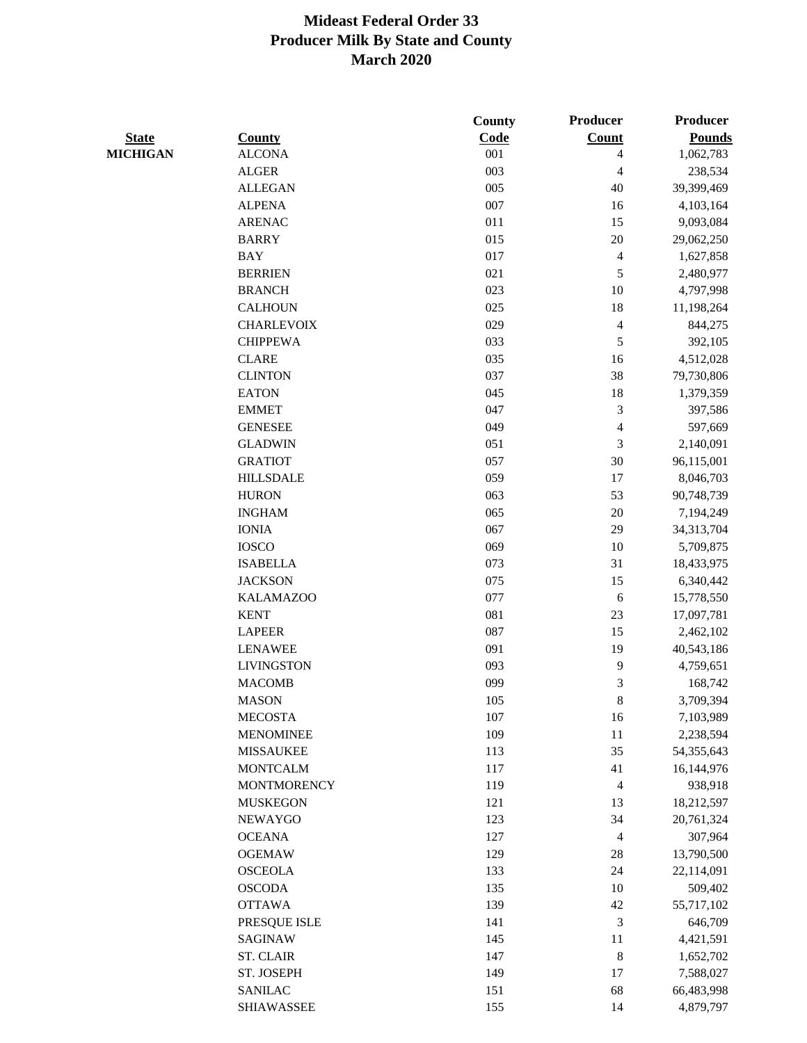|                 |                    | County     | Producer                | Producer      |
|-----------------|--------------------|------------|-------------------------|---------------|
| <b>State</b>    | <b>County</b>      | Code       | Count                   | <b>Pounds</b> |
| <b>MICHIGAN</b> | <b>ALCONA</b>      | 001        | 4                       | 1,062,783     |
|                 | <b>ALGER</b>       | 003        | 4                       | 238,534       |
|                 | <b>ALLEGAN</b>     | 005        | 40                      | 39,399,469    |
|                 | <b>ALPENA</b>      | 007        | 16                      | 4,103,164     |
|                 | <b>ARENAC</b>      | 011        | 15                      | 9,093,084     |
|                 | <b>BARRY</b>       | 015        | $20\,$                  | 29,062,250    |
|                 | <b>BAY</b>         | 017        | $\overline{4}$          | 1,627,858     |
|                 | <b>BERRIEN</b>     | 021        | $\mathfrak s$           | 2,480,977     |
|                 | <b>BRANCH</b>      | 023        | 10                      | 4,797,998     |
|                 | <b>CALHOUN</b>     | 025        | 18                      | 11,198,264    |
|                 | <b>CHARLEVOIX</b>  | 029        | $\overline{\mathbf{4}}$ | 844,275       |
|                 | <b>CHIPPEWA</b>    | 033        | $\sqrt{5}$              | 392,105       |
|                 | <b>CLARE</b>       | 035        | 16                      | 4,512,028     |
|                 | <b>CLINTON</b>     | 037        | 38                      | 79,730,806    |
|                 | <b>EATON</b>       | 045        | 18                      | 1,379,359     |
|                 | <b>EMMET</b>       | 047        | 3                       | 397,586       |
|                 | <b>GENESEE</b>     | 049        | 4                       | 597,669       |
|                 | <b>GLADWIN</b>     | 051        | $\mathfrak{Z}$          | 2,140,091     |
|                 | <b>GRATIOT</b>     | 057        | 30                      | 96,115,001    |
|                 | <b>HILLSDALE</b>   | 059        | 17                      | 8,046,703     |
|                 | <b>HURON</b>       | 063        | 53                      | 90,748,739    |
|                 | <b>INGHAM</b>      | 065        | $20\,$                  | 7,194,249     |
|                 | <b>IONIA</b>       | 067        | 29                      | 34, 313, 704  |
|                 | <b>IOSCO</b>       | 069        | 10                      | 5,709,875     |
|                 | <b>ISABELLA</b>    | 073        | 31                      | 18,433,975    |
|                 | <b>JACKSON</b>     | 075        | 15                      | 6,340,442     |
|                 | <b>KALAMAZOO</b>   | 077        | 6                       | 15,778,550    |
|                 | <b>KENT</b>        | 081        | 23                      | 17,097,781    |
|                 | <b>LAPEER</b>      | 087        | 15                      | 2,462,102     |
|                 | <b>LENAWEE</b>     | 091        | 19                      | 40,543,186    |
|                 | <b>LIVINGSTON</b>  | 093        | 9                       | 4,759,651     |
|                 | <b>MACOMB</b>      | 099        | 3                       | 168,742       |
|                 | <b>MASON</b>       | 105        | 8                       | 3,709,394     |
|                 | <b>MECOSTA</b>     | 107        | 16                      | 7,103,989     |
|                 | <b>MENOMINEE</b>   | 109        | 11                      | 2,238,594     |
|                 | <b>MISSAUKEE</b>   | 113        | 35                      | 54,355,643    |
|                 | <b>MONTCALM</b>    | 117        | 41                      | 16,144,976    |
|                 | <b>MONTMORENCY</b> | 119        | $\overline{4}$          | 938,918       |
|                 | <b>MUSKEGON</b>    | 121        | 13                      | 18,212,597    |
|                 | NEWAYGO            | 123        | 34                      | 20,761,324    |
|                 | <b>OCEANA</b>      | 127        | $\overline{4}$          | 307,964       |
|                 | <b>OGEMAW</b>      | 129        | $28\,$                  | 13,790,500    |
|                 | <b>OSCEOLA</b>     | 133        | 24                      | 22,114,091    |
|                 |                    |            |                         |               |
|                 | <b>OSCODA</b>      | 135<br>139 | 10                      | 509,402       |
|                 | <b>OTTAWA</b>      |            | $42\,$                  | 55,717,102    |
|                 | PRESQUE ISLE       | 141        | $\mathfrak{Z}$          | 646,709       |
|                 | SAGINAW            | 145        | 11                      | 4,421,591     |
|                 | <b>ST. CLAIR</b>   | 147        | $\,8\,$                 | 1,652,702     |
|                 | ST. JOSEPH         | 149        | 17                      | 7,588,027     |
|                 | <b>SANILAC</b>     | 151        | 68                      | 66,483,998    |
|                 | <b>SHIAWASSEE</b>  | 155        | 14                      | 4,879,797     |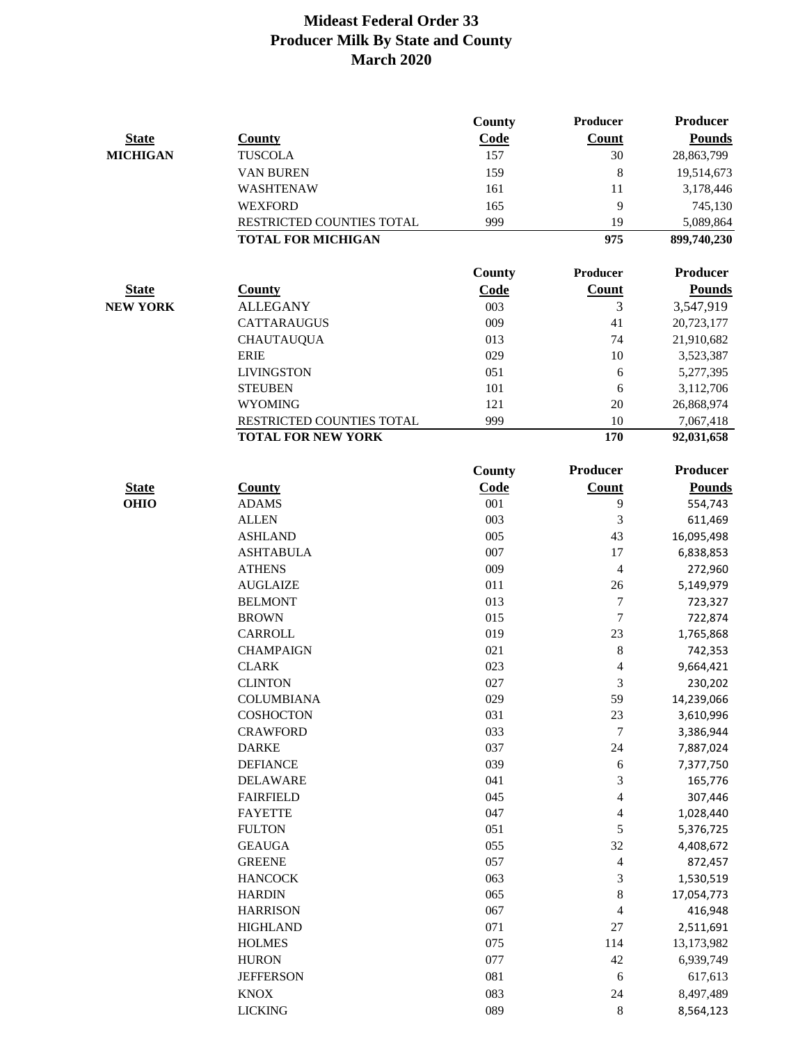|                 |                           | County        | Producer                 | <b>Producer</b> |
|-----------------|---------------------------|---------------|--------------------------|-----------------|
| <b>State</b>    | <b>County</b>             | Code          | <b>Count</b>             | <b>Pounds</b>   |
| <b>MICHIGAN</b> | <b>TUSCOLA</b>            | 157           | 30                       | 28,863,799      |
|                 | VAN BUREN                 | 159           | 8                        | 19,514,673      |
|                 | WASHTENAW                 | 161           | 11                       | 3,178,446       |
|                 | <b>WEXFORD</b>            | 165           | 9                        | 745,130         |
|                 | RESTRICTED COUNTIES TOTAL | 999           | 19                       | 5,089,864       |
|                 | <b>TOTAL FOR MICHIGAN</b> |               | 975                      | 899,740,230     |
|                 |                           |               |                          |                 |
|                 |                           | County        | Producer                 | <b>Producer</b> |
| <b>State</b>    | <b>County</b>             | Code          | Count                    | <b>Pounds</b>   |
| <b>NEW YORK</b> | <b>ALLEGANY</b>           | 003           | 3                        | 3,547,919       |
|                 | <b>CATTARAUGUS</b>        | 009           | 41                       | 20,723,177      |
|                 | <b>CHAUTAUQUA</b>         | 013           | 74                       | 21,910,682      |
|                 | <b>ERIE</b>               | 029           | 10                       | 3,523,387       |
|                 | <b>LIVINGSTON</b>         | 051           | 6                        | 5,277,395       |
|                 | <b>STEUBEN</b>            | 101           | 6                        | 3,112,706       |
|                 | <b>WYOMING</b>            | 121           | 20                       | 26,868,974      |
|                 | RESTRICTED COUNTIES TOTAL | 999           | 10                       | 7,067,418       |
|                 | <b>TOTAL FOR NEW YORK</b> |               | 170                      | 92,031,658      |
|                 |                           | <b>County</b> | Producer                 | <b>Producer</b> |
| <b>State</b>    | <b>County</b>             | Code          | Count                    | <b>Pounds</b>   |
| <b>OHIO</b>     | <b>ADAMS</b>              | 001           | 9                        | 554,743         |
|                 | <b>ALLEN</b>              | 003           | 3                        | 611,469         |
|                 | <b>ASHLAND</b>            | 005           | 43                       | 16,095,498      |
|                 | <b>ASHTABULA</b>          | 007           | 17                       | 6,838,853       |
|                 | <b>ATHENS</b>             | 009           | 4                        | 272,960         |
|                 | <b>AUGLAIZE</b>           | 011           | 26                       | 5,149,979       |
|                 | <b>BELMONT</b>            | 013           | 7                        | 723,327         |
|                 | <b>BROWN</b>              | 015           | 7                        | 722,874         |
|                 | <b>CARROLL</b>            | 019           | 23                       | 1,765,868       |
|                 | <b>CHAMPAIGN</b>          | 021           | 8                        | 742,353         |
|                 | <b>CLARK</b>              | 023           | $\overline{4}$           | 9,664,421       |
|                 | <b>CLINTON</b>            | 027           | 3                        | 230,202         |
|                 | COLUMBIANA                | 029           | 59                       | 14,239,066      |
|                 | COSHOCTON                 | 031           | 23                       | 3,610,996       |
|                 | <b>CRAWFORD</b>           | 033           | $\boldsymbol{7}$         | 3,386,944       |
|                 | <b>DARKE</b>              | 037           | 24                       | 7,887,024       |
|                 | <b>DEFIANCE</b>           | 039           | 6                        | 7,377,750       |
|                 | <b>DELAWARE</b>           | 041           | 3                        | 165,776         |
|                 | <b>FAIRFIELD</b>          | 045           | $\overline{\mathbf{4}}$  | 307,446         |
|                 | <b>FAYETTE</b>            | 047           | 4                        | 1,028,440       |
|                 | <b>FULTON</b>             | 051           | 5                        | 5,376,725       |
|                 | <b>GEAUGA</b>             | 055           | 32                       | 4,408,672       |
|                 | <b>GREENE</b>             | 057           | 4                        | 872,457         |
|                 | <b>HANCOCK</b>            | 063           | 3                        | 1,530,519       |
|                 | <b>HARDIN</b>             | 065           | 8                        | 17,054,773      |
|                 | <b>HARRISON</b>           | 067           | $\overline{\mathcal{A}}$ | 416,948         |
|                 | <b>HIGHLAND</b>           | 071           | $27\,$                   | 2,511,691       |
|                 | <b>HOLMES</b>             | 075           | 114                      | 13,173,982      |
|                 | <b>HURON</b>              | 077           | 42                       | 6,939,749       |
|                 | <b>JEFFERSON</b>          | 081           | 6                        | 617,613         |
|                 | <b>KNOX</b>               | 083           | $24\,$                   | 8,497,489       |
|                 | <b>LICKING</b>            | 089           | $\,8$                    | 8,564,123       |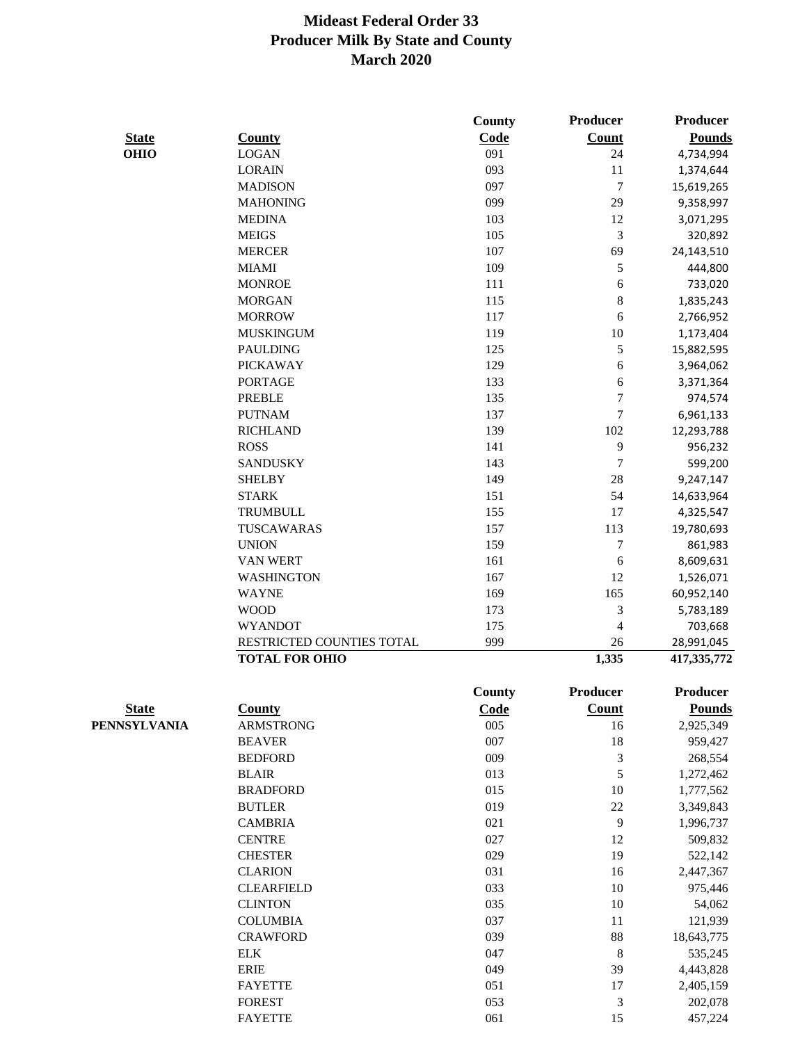|              |                           | County | Producer         | <b>Producer</b>        |
|--------------|---------------------------|--------|------------------|------------------------|
| <b>State</b> | <b>County</b>             | Code   | <b>Count</b>     | <b>Pounds</b>          |
| <b>OHIO</b>  | <b>LOGAN</b>              | 091    | 24               | 4,734,994              |
|              | <b>LORAIN</b>             | 093    | 11               | 1,374,644              |
|              | <b>MADISON</b>            | 097    | $\tau$           | 15,619,265             |
|              | <b>MAHONING</b>           | 099    | 29               | 9,358,997              |
|              | <b>MEDINA</b>             | 103    | 12               | 3,071,295              |
|              | <b>MEIGS</b>              | 105    | $\mathfrak{Z}$   | 320,892                |
|              | <b>MERCER</b>             | 107    | 69               | 24,143,510             |
|              | <b>MIAMI</b>              | 109    | $\sqrt{5}$       | 444,800                |
|              | <b>MONROE</b>             | 111    | $\sqrt{6}$       | 733,020                |
|              | <b>MORGAN</b>             | 115    | $\,8\,$          | 1,835,243              |
|              | <b>MORROW</b>             | 117    | 6                | 2,766,952              |
|              | <b>MUSKINGUM</b>          | 119    | $10\,$           | 1,173,404              |
|              | <b>PAULDING</b>           | 125    | $\sqrt{5}$       | 15,882,595             |
|              | <b>PICKAWAY</b>           | 129    | 6                | 3,964,062              |
|              | <b>PORTAGE</b>            | 133    | 6                | 3,371,364              |
|              | <b>PREBLE</b>             | 135    | $\boldsymbol{7}$ | 974,574                |
|              | <b>PUTNAM</b>             | 137    | $\boldsymbol{7}$ | 6,961,133              |
|              | <b>RICHLAND</b>           | 139    | 102              | 12,293,788             |
|              | <b>ROSS</b>               | 141    | $\overline{9}$   | 956,232                |
|              | <b>SANDUSKY</b>           | 143    | $\boldsymbol{7}$ | 599,200                |
|              | <b>SHELBY</b>             | 149    | $28\,$           | 9,247,147              |
|              | <b>STARK</b>              | 151    | 54               | 14,633,964             |
|              | <b>TRUMBULL</b>           | 155    | 17               | 4,325,547              |
|              | TUSCAWARAS                | 157    | 113              | 19,780,693             |
|              | <b>UNION</b>              | 159    | $\boldsymbol{7}$ | 861,983                |
|              | <b>VAN WERT</b>           | 161    | $\sqrt{6}$       | 8,609,631              |
|              | WASHINGTON                | 167    | 12               | 1,526,071              |
|              | <b>WAYNE</b>              | 169    | 165              | 60,952,140             |
|              | <b>WOOD</b>               | 173    | $\mathfrak{Z}$   | 5,783,189              |
|              | <b>WYANDOT</b>            | 175    | 4                | 703,668                |
|              | RESTRICTED COUNTIES TOTAL | 999    | 26               | 28,991,045             |
|              | <b>TOTAL FOR OHIO</b>     |        | 1,335            | 417,335,772            |
|              |                           | County | Producer         | <b>Producer</b>        |
| <b>State</b> | <b>County</b>             | Code   | Count            | <b>Pounds</b>          |
| PENNSYLVANIA | <b>ARMSTRONG</b>          | 005    | 16               | 2,925,349              |
|              | <b>BEAVER</b>             | 007    | $18\,$           | 959,427                |
|              | <b>BEDFORD</b>            | 009    | $\mathfrak{Z}$   | 268,554                |
|              | <b>BLAIR</b>              | 013    | $\sqrt{5}$       | 1,272,462              |
|              | <b>BRADFORD</b>           | 015    | 10               | 1,777,562              |
|              | <b>BUTLER</b>             | 019    | $22\,$           | 3,349,843              |
|              | <b>CAMBRIA</b>            | 021    | 9                | 1,996,737              |
|              | <b>CENTRE</b>             | 027    | 12               | 509,832                |
|              | <b>CHESTER</b>            | 029    | 19               | 522,142                |
|              | <b>CLARION</b>            | 031    | 16               | 2,447,367              |
|              | <b>CLEARFIELD</b>         | 033    | 10               | 975,446                |
|              | <b>CLINTON</b>            | 035    | 10               | 54,062                 |
|              | <b>COLUMBIA</b>           | 037    | 11               | 121,939                |
|              | <b>CRAWFORD</b>           | 039    | $88\,$           | 18,643,775             |
|              | <b>ELK</b>                | 047    | $\,8$            |                        |
|              | <b>ERIE</b>               | 049    | 39               | 535,245                |
|              | <b>FAYETTE</b>            | 051    | 17               | 4,443,828<br>2,405,159 |
|              | <b>FOREST</b>             | 053    | $\mathfrak{Z}$   | 202,078                |
|              | <b>FAYETTE</b>            | 061    | 15               | 457,224                |
|              |                           |        |                  |                        |